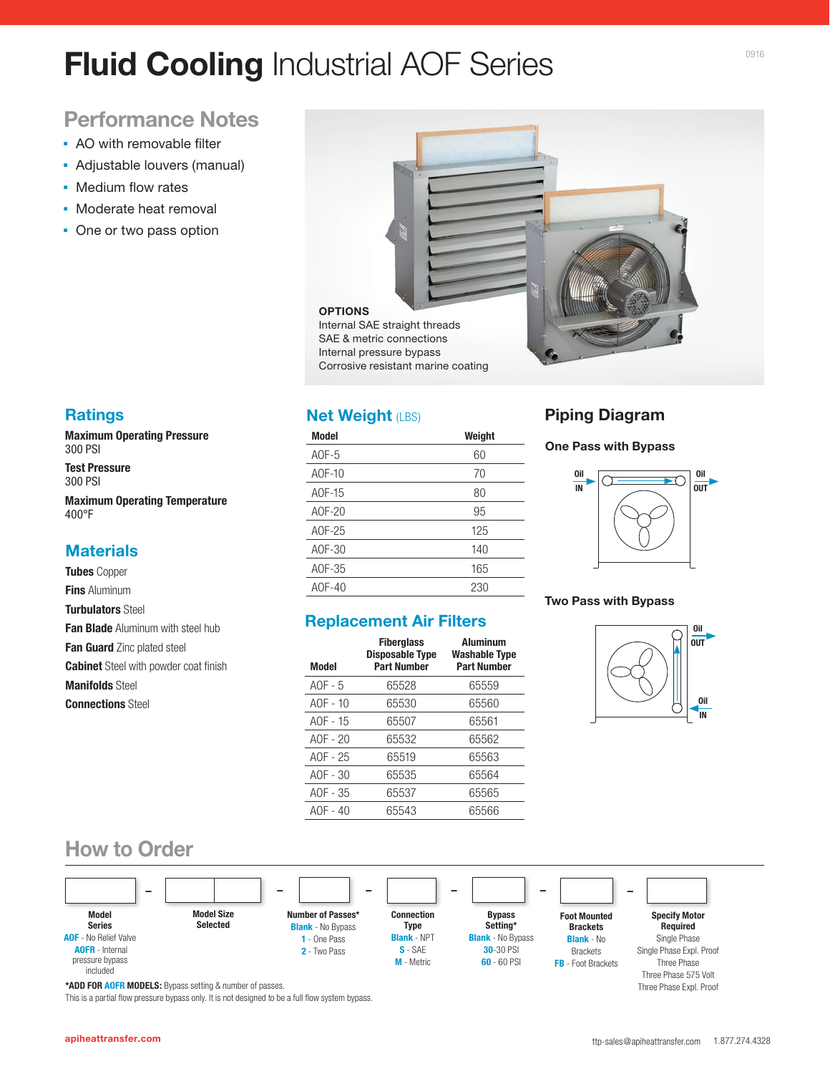# **Fluid Cooling** Industrial AOF Series

## **Performance Notes**

- **AO with removable filter**
- Adjustable louvers (manual)
- **Medium flow rates**
- **Moderate heat removal**
- One or two pass option



### **Ratings**

**Maximum Operating Pressure**  300 PSI

**Test Pressure**  300 PSI

**Maximum Operating Temperature**  400°F

### **Materials**

**Tubes** Copper **Fins** Aluminum **Turbulators** Steel **Fan Blade** Aluminum with steel hub **Fan Guard** Zinc plated steel **Cabinet** Steel with powder coat finish

**Manifolds** Steel

**Connections** Steel

### **Net Weight (LBS)**

| <b>Model</b> | Weight |
|--------------|--------|
| $AOF-5$      | 60     |
| A0F-10       | 70     |
| AOF-15       | 80     |
| A0F-20       | 95     |
| A0F-25       | 125    |
| AOF-30       | 140    |
| AOF-35       | 165    |
| AOF-40       | 230    |

### **Replacement Air Filters**

| <b>Model</b> | <b>Fiberglass</b><br><b>Disposable Type</b><br><b>Part Number</b> | <b>Aluminum</b><br><b>Washable Type</b><br><b>Part Number</b> |
|--------------|-------------------------------------------------------------------|---------------------------------------------------------------|
| AOF $-5$     | 65528                                                             | 65559                                                         |
| $AOF - 10$   | 65530                                                             | 65560                                                         |
| $AOF - 15$   | 65507                                                             | 65561                                                         |
| AOF $-20$    | 65532                                                             | 65562                                                         |
| AOF $-25$    | 65519                                                             | 65563                                                         |
| $AOF - 30$   | 65535                                                             | 65564                                                         |
| AOF $-35$    | 65537                                                             | 65565                                                         |
| $AOF - 40$   | 65543                                                             | 65566                                                         |
|              |                                                                   |                                                               |

### **Piping Diagram**

#### **One Pass with Bypass**



#### **Two Pass with Bypass**



### **How to Order**



**\*ADD FOR AOFR MODELS:** Bypass setting & number of passes.

This is a partial flow pressure bypass only. It is not designed to be a full flow system bypass.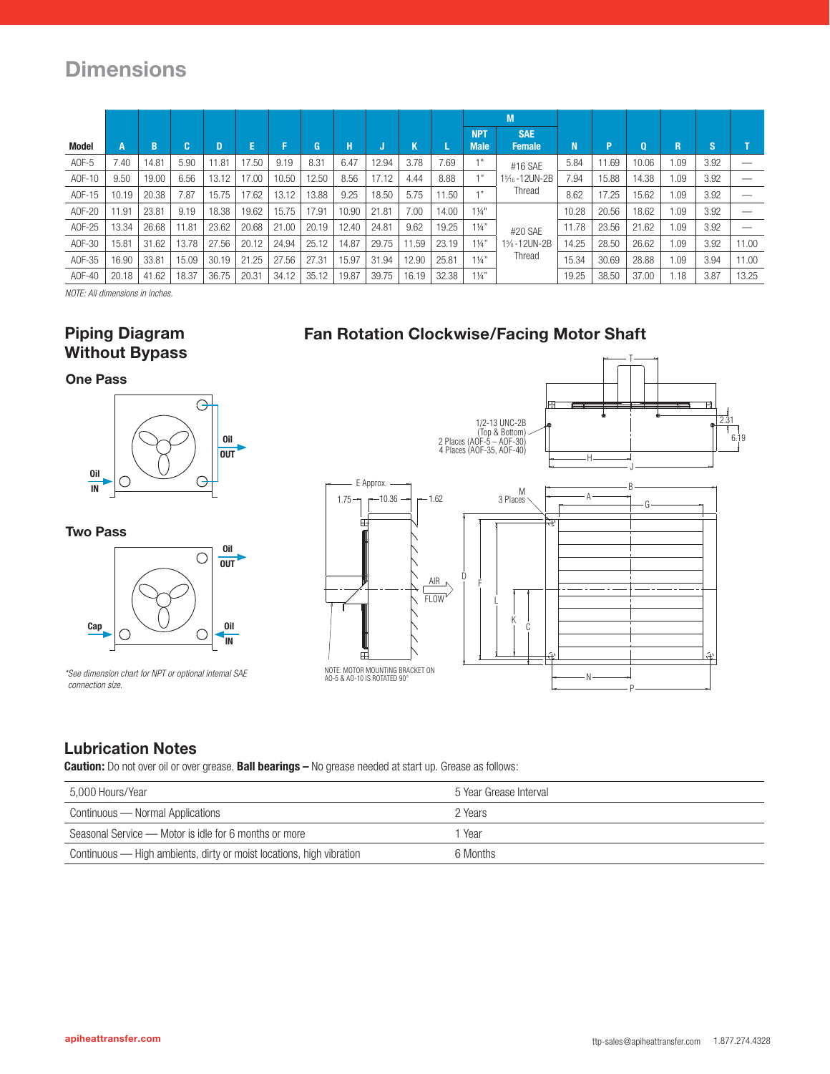## **Dimensions**

|        |                |       |         |       |       |       |       |       |       |       |       |                           | M                           |       |       |       |      |      |       |
|--------|----------------|-------|---------|-------|-------|-------|-------|-------|-------|-------|-------|---------------------------|-----------------------------|-------|-------|-------|------|------|-------|
| Model  | A              | B     | c<br>ы. | D     | E.    |       |       | н     |       | Κ     |       | <b>NPT</b><br><b>Male</b> | <b>SAE</b><br><b>Female</b> | N     | P     | 0     | R    | 'S.  |       |
| AOF-5  | 7.40           | 14.81 | 5.90    | 11.81 | 17.50 | 9.19  | 8.31  | 6.47  | 12.94 | 3.78  | 7.69  | 1 !!                      | #16 SAE                     | 5.84  | 11.69 | 10.06 | 1.09 | 3.92 |       |
| A0F-10 | 9.50           | 19.00 | 6.56    | 13.12 | 17.00 | 10.50 | 12.50 | 8.56  | 17.12 | 4.44  | 8.88  | 1"                        | 1%-12UN-2B                  | 7.94  | 15.88 | 14.38 | 1.09 | 3.92 |       |
| A0F-15 | 10.19          | 20.38 | 7.87    | 15.75 | 17.62 | 13.12 | 13.88 | 9.25  | 18.50 | 5.75  | 11.50 | $-111$                    | Thread                      | 8.62  | 17.25 | 15.62 | 1.09 | 3.92 |       |
| A0F-20 | 11.91          | 23.81 | 9.19    | 18.38 | 19.62 | 15.75 | 17.91 | 10.90 | 21.81 | 7.00  | 14.00 | $1\frac{1}{4}$ "          |                             | 10.28 | 20.56 | 18.62 | 1.09 | 3.92 |       |
| A0F-25 | 13.34          | 26.68 | 11.81   | 23.62 | 20.68 | 21.00 | 20.19 | 12.40 | 24.81 | 9.62  | 19.25 | $1\frac{1}{4}$            | #20 SAE                     | 11.78 | 23.56 | 21.62 | 1.09 | 3.92 |       |
| A0F-30 | $15.8^{\circ}$ | 31.62 | 13.78   | 27.56 | 20.12 | 24.94 | 25.12 | 14.87 | 29.75 | 11.59 | 23.19 | $1\frac{1}{4}$            | 1%-12UN-2B                  | 14.25 | 28.50 | 26.62 | 1.09 | 3.92 | 11.00 |
| A0F-35 | 16.90          | 33.81 | 15.09   | 30.19 | 21.25 | 27.56 | 27.31 | 15.97 | 31.94 | 12.90 | 25.81 | $1\frac{1}{4}$            | Thread                      | 15.34 | 30.69 | 28.88 | 1.09 | 3.94 | 11.00 |
| A0F-40 | 20.18          | 41.62 | 18.37   | 36.75 | 20.31 | 34.12 | 35.12 | 19.87 | 39.75 | 16.19 | 32.38 | $1\frac{1}{4}$            |                             | 19.25 | 38.50 | 37.00 | 1.18 | 3.87 | 13.25 |

*NOTE: All dimensions in inches.*

### **Piping Diagram Without Bypass**

**Fan Rotation Clockwise/Facing Motor Shaft**

#### **One Pass**



**Two Pass**



*\*See dimension chart for NPT or optional internal SAE connection size.*



### **Lubrication Notes**

**Caution:** Do not over oil or over grease. **Ball bearings –** No grease needed at start up. Grease as follows:

| 5.000 Hours/Year                                                     | 5 Year Grease Interval |
|----------------------------------------------------------------------|------------------------|
| Continuous — Normal Applications                                     | 2 Years                |
| Seasonal Service — Motor is idle for 6 months or more                | 1 Year                 |
| Continuous — High ambients, dirty or moist locations, high vibration | 6 Months               |

P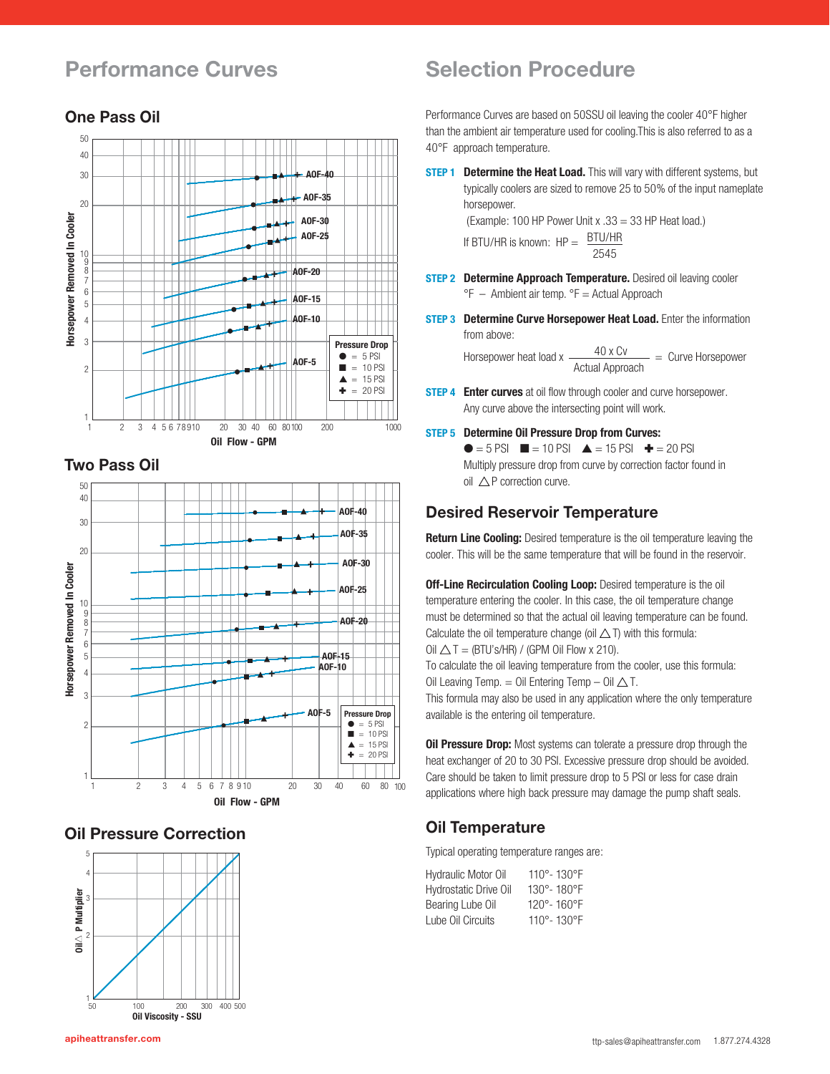## **Performance Curves Selection Procedure**

#### 50 40 30 **AOF-40 AOF-35** 20 Horsepower Removed In Cooler **Horsepower Removed In Cooler AOF-30 AOF-25** 10 7 8 9 **AOF-20** 6 **AOF-15** 5 **AOF-10** 4 3 **Pressure Drop**  $\bullet$  = 5 PSI **AOF-5** 2  $\blacksquare = 10$  PSI  $\triangle$  = 15 PSI **AO F SE R IE S 2 PASS**  $\triangleq$  = 20 PSI 1 1 2 3 4 5 6 78 910 20 30 40 60 80100 200 1000 **Oil Flow - GPM**

**AOF SERIES 1 PASS**

### **Two Pass Oil**



### **Oil Pressure Correction**



Performance Curves are based on 50SSU oil leaving the cooler 40°F higher than the ambient air temperature used for cooling.This is also referred to as a 40°F approach temperature.

**STEP 1 Determine the Heat Load.** This will vary with different systems, but typically coolers are sized to remove 25 to 50% of the input nameplate horsepower.

(Example: 100 HP Power Unit x .33 = 33 HP Heat load.)

If BTU/HR is known:  $HP = \frac{BTU/HR}{H}$ 2545

- **STEP 2 Determine Approach Temperature.** Desired oil leaving cooler  ${}^{\circ}$ F – Ambient air temp.  ${}^{\circ}$ F = Actual Approach
- **STEP 3 Determine Curve Horsepower Heat Load.** Enter the information from above:

Horsepower heat load x  $\frac{40 \times \text{Cv}}{\text{Actual Approach}}$  = Curve Horsepower

- **STEP 4 Enter curves** at oil flow through cooler and curve horsepower. Any curve above the intersecting point will work.
- **STEP 5 Determine Oil Pressure Drop from Curves:**

 $\bullet$  = 5 PSI  $\blacksquare$  = 10 PSI  $\blacktriangle$  = 15 PSI  $\blacktriangle$  = 20 PSI Multiply pressure drop from curve by correction factor found in  $oil$   $\wedge$  P correction curve.

### **Desired Reservoir Temperature**

**Return Line Cooling:** Desired temperature is the oil temperature leaving the cooler. This will be the same temperature that will be found in the reservoir.

**Off-Line Recirculation Cooling Loop:** Desired temperature is the oil temperature entering the cooler. In this case, the oil temperature change must be determined so that the actual oil leaving temperature can be found. Calculate the oil temperature change (oil  $\triangle$  T) with this formula: Oil  $\triangle T = (BTU's/HR) / (GPM$  Oil Flow x 210).

To calculate the oil leaving temperature from the cooler, use this formula: Oil Leaving Temp. = Oil Entering Temp  $-$  Oil  $\triangle$  T.

This formula may also be used in any application where the only temperature available is the entering oil temperature.

**Oil Pressure Drop:** Most systems can tolerate a pressure drop through the heat exchanger of 20 to 30 PSI. Excessive pressure drop should be avoided. Care should be taken to limit pressure drop to 5 PSI or less for case drain applications where high back pressure may damage the pump shaft seals.

### **Oil Temperature**

Typical operating temperature ranges are:

| <b>Hydraulic Motor Oil</b>   | 110°-130°F |
|------------------------------|------------|
| <b>Hydrostatic Drive Oil</b> | 130°-180°F |
| Bearing Lube Oil             | 120°-160°F |
| Lube Oil Circuits            | 110°-130°F |

## **One Pass Oil**